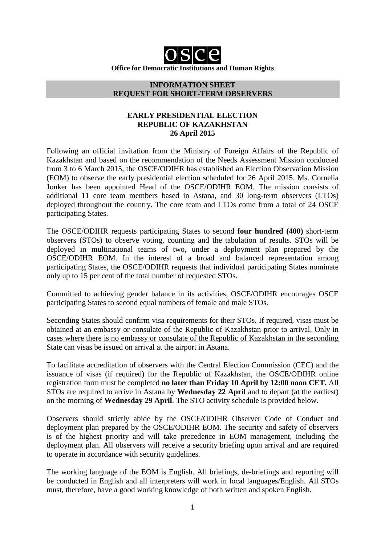

**Office for Democratic Institutions and Human Rights**

#### **INFORMATION SHEET REQUEST FOR SHORT-TERM OBSERVERS**

## **EARLY PRESIDENTIAL ELECTION REPUBLIC OF KAZAKHSTAN 26 April 2015**

Following an official invitation from the Ministry of Foreign Affairs of the Republic of Kazakhstan and based on the recommendation of the Needs Assessment Mission conducted from 3 to 6 March 2015, the OSCE/ODIHR has established an Election Observation Mission (EOM) to observe the early presidential election scheduled for 26 April 2015. Ms. Cornelia Jonker has been appointed Head of the OSCE/ODIHR EOM. The mission consists of additional 11 core team members based in Astana, and 30 long-term observers (LTOs) deployed throughout the country. The core team and LTOs come from a total of 24 OSCE participating States.

The OSCE/ODIHR requests participating States to second **four hundred (400)** short-term observers (STOs) to observe voting, counting and the tabulation of results. STOs will be deployed in multinational teams of two, under a deployment plan prepared by the OSCE/ODIHR EOM. In the interest of a broad and balanced representation among participating States, the OSCE/ODIHR requests that individual participating States nominate only up to 15 per cent of the total number of requested STOs.

Committed to achieving gender balance in its activities, OSCE/ODIHR encourages OSCE participating States to second equal numbers of female and male STOs.

Seconding States should confirm visa requirements for their STOs. If required, visas must be obtained at an embassy or consulate of the Republic of Kazakhstan prior to arrival. Only in cases where there is no embassy or consulate of the Republic of Kazakhstan in the seconding State can visas be issued on arrival at the airport in Astana.

To facilitate accreditation of observers with the Central Election Commission (CEC) and the issuance of visas (if required) for the Republic of Kazakhstan, the OSCE/ODIHR online registration form must be completed **no later than Friday 10 April by 12:00 noon CET.** All STOs are required to arrive in Astana by **Wednesday 22 April** and to depart (at the earliest) on the morning of **Wednesday 29 April**. The STO activity schedule is provided below.

Observers should strictly abide by the OSCE/ODIHR Observer Code of Conduct and deployment plan prepared by the OSCE/ODIHR EOM. The security and safety of observers is of the highest priority and will take precedence in EOM management, including the deployment plan. All observers will receive a security briefing upon arrival and are required to operate in accordance with security guidelines.

The working language of the EOM is English. All briefings, de-briefings and reporting will be conducted in English and all interpreters will work in local languages/English. All STOs must, therefore, have a good working knowledge of both written and spoken English.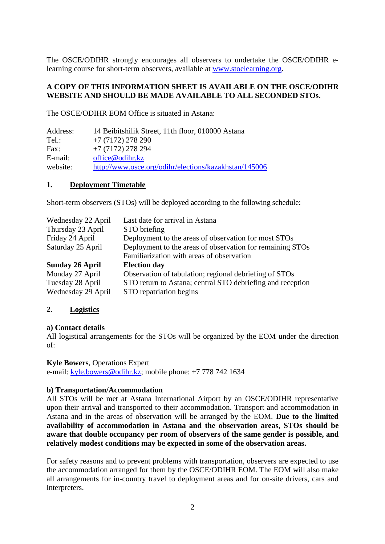The OSCE/ODIHR strongly encourages all observers to undertake the OSCE/ODIHR elearning course for short-term observers, available at www.stoelearning.org.

#### **A COPY OF THIS INFORMATION SHEET IS AVAILABLE ON THE OSCE/ODIHR WEBSITE AND SHOULD BE MADE AVAILABLE TO ALL SECONDED STOs.**

The OSCE/ODIHR EOM Office is situated in Astana:

| 14 Beibitshilik Street, 11th floor, 010000 Astana     |
|-------------------------------------------------------|
| $+7(7172)$ 278 290                                    |
| $+7(7172)$ 278 294                                    |
| office@odihr.kz                                       |
| http://www.osce.org/odihr/elections/kazakhstan/145006 |
|                                                       |

#### **1. Deployment Timetable**

Short-term observers (STOs) will be deployed according to the following schedule:

| Wednesday 22 April     | Last date for arrival in Astana                            |
|------------------------|------------------------------------------------------------|
| Thursday 23 April      | STO briefing                                               |
| Friday 24 April        | Deployment to the areas of observation for most STOs       |
| Saturday 25 April      | Deployment to the areas of observation for remaining STOs  |
|                        | Familiarization with areas of observation                  |
| <b>Sunday 26 April</b> | <b>Election day</b>                                        |
| Monday 27 April        | Observation of tabulation; regional debriefing of STOs     |
| Tuesday 28 April       | STO return to Astana; central STO debriefing and reception |
| Wednesday 29 April     | STO repatriation begins                                    |

#### **2. Logistics**

#### **a) Contact details**

All logistical arrangements for the STOs will be organized by the EOM under the direction of:

#### **Kyle Bowers**, Operations Expert

e-mail: kyle.bowers@odihr.kz; mobile phone: +7 778 742 1634

#### **b) Transportation/Accommodation**

All STOs will be met at Astana International Airport by an OSCE/ODIHR representative upon their arrival and transported to their accommodation. Transport and accommodation in Astana and in the areas of observation will be arranged by the EOM. **Due to the limited availability of accommodation in Astana and the observation areas, STOs should be aware that double occupancy per room of observers of the same gender is possible, and relatively modest conditions may be expected in some of the observation areas.** 

For safety reasons and to prevent problems with transportation, observers are expected to use the accommodation arranged for them by the OSCE/ODIHR EOM. The EOM will also make all arrangements for in-country travel to deployment areas and for on-site drivers, cars and interpreters.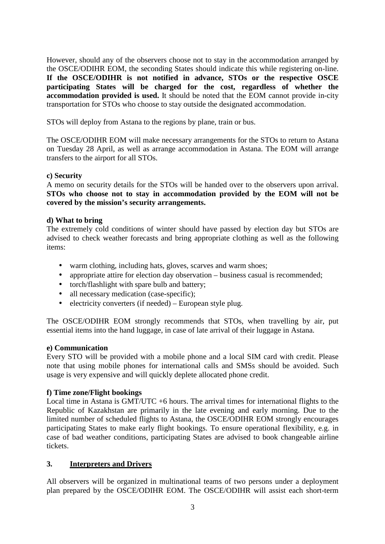However, should any of the observers choose not to stay in the accommodation arranged by the OSCE/ODIHR EOM, the seconding States should indicate this while registering on-line. **If the OSCE/ODIHR is not notified in advance, STOs or the respective OSCE participating States will be charged for the cost, regardless of whether the accommodation provided is used.** It should be noted that the EOM cannot provide in-city transportation for STOs who choose to stay outside the designated accommodation.

STOs will deploy from Astana to the regions by plane, train or bus.

The OSCE/ODIHR EOM will make necessary arrangements for the STOs to return to Astana on Tuesday 28 April, as well as arrange accommodation in Astana. The EOM will arrange transfers to the airport for all STOs.

## **c) Security**

A memo on security details for the STOs will be handed over to the observers upon arrival. **STOs who choose not to stay in accommodation provided by the EOM will not be covered by the mission's security arrangements.**

## **d) What to bring**

The extremely cold conditions of winter should have passed by election day but STOs are advised to check weather forecasts and bring appropriate clothing as well as the following items:

- warm clothing, including hats, gloves, scarves and warm shoes;
- appropriate attire for election day observation business casual is recommended;
- torch/flashlight with spare bulb and battery;
- all necessary medication (case-specific);
- electricity converters (if needed) European style plug.

The OSCE/ODIHR EOM strongly recommends that STOs, when travelling by air, put essential items into the hand luggage, in case of late arrival of their luggage in Astana.

#### **e) Communication**

Every STO will be provided with a mobile phone and a local SIM card with credit. Please note that using mobile phones for international calls and SMSs should be avoided. Such usage is very expensive and will quickly deplete allocated phone credit.

#### **f) Time zone/Flight bookings**

Local time in Astana is GMT/UTC +6 hours. The arrival times for international flights to the Republic of Kazakhstan are primarily in the late evening and early morning. Due to the limited number of scheduled flights to Astana, the OSCE/ODIHR EOM strongly encourages participating States to make early flight bookings. To ensure operational flexibility, e.g. in case of bad weather conditions, participating States are advised to book changeable airline tickets.

# **3. Interpreters and Drivers**

All observers will be organized in multinational teams of two persons under a deployment plan prepared by the OSCE/ODIHR EOM. The OSCE/ODIHR will assist each short-term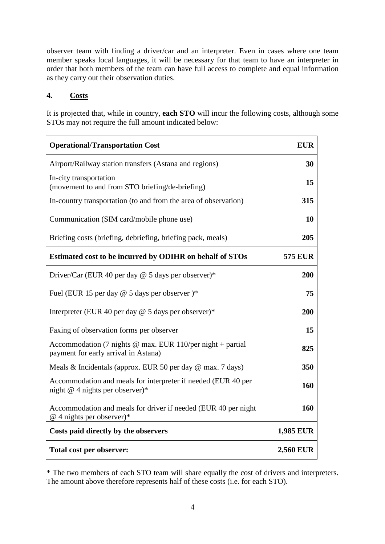observer team with finding a driver/car and an interpreter. Even in cases where one team member speaks local languages, it will be necessary for that team to have an interpreter in order that both members of the team can have full access to complete and equal information as they carry out their observation duties.

# **4. Costs**

It is projected that, while in country, **each STO** will incur the following costs, although some STOs may not require the full amount indicated below:

| <b>Operational/Transportation Cost</b>                                                               | <b>EUR</b>       |
|------------------------------------------------------------------------------------------------------|------------------|
| Airport/Railway station transfers (Astana and regions)                                               | 30               |
| In-city transportation<br>(movement to and from STO briefing/de-briefing)                            | 15               |
| In-country transportation (to and from the area of observation)                                      | 315              |
| Communication (SIM card/mobile phone use)                                                            | <b>10</b>        |
| Briefing costs (briefing, debriefing, briefing pack, meals)                                          | 205              |
| Estimated cost to be incurred by ODIHR on behalf of STOs                                             | <b>575 EUR</b>   |
| Driver/Car (EUR 40 per day $@$ 5 days per observer)*                                                 | 200              |
| Fuel (EUR 15 per day @ 5 days per observer)*                                                         | 75               |
| Interpreter (EUR 40 per day $@$ 5 days per observer)*                                                | 200              |
| Faxing of observation forms per observer                                                             | 15               |
| Accommodation (7 nights $@$ max. EUR 110/per night + partial<br>payment for early arrival in Astana) | 825              |
| Meals & Incidentals (approx. EUR 50 per day @ max. 7 days)                                           | 350              |
| Accommodation and meals for interpreter if needed (EUR 40 per<br>night $@$ 4 nights per observer)*   | 160              |
| Accommodation and meals for driver if needed (EUR 40 per night<br>$@$ 4 nights per observer)*        | 160              |
| Costs paid directly by the observers                                                                 | 1,985 EUR        |
| Total cost per observer:                                                                             | <b>2,560 EUR</b> |

\* The two members of each STO team will share equally the cost of drivers and interpreters. The amount above therefore represents half of these costs (i.e. for each STO).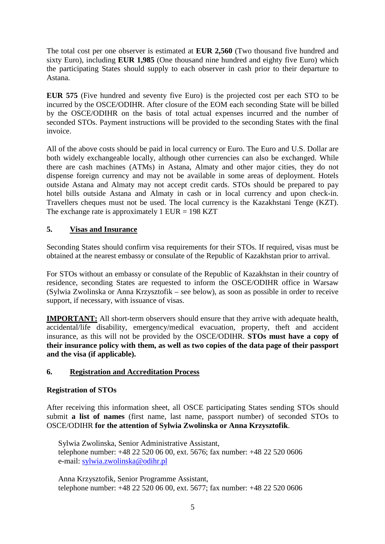The total cost per one observer is estimated at **EUR 2,560** (Two thousand five hundred and sixty Euro), including **EUR 1,985** (One thousand nine hundred and eighty five Euro) which the participating States should supply to each observer in cash prior to their departure to Astana.

**EUR 575** (Five hundred and seventy five Euro) is the projected cost per each STO to be incurred by the OSCE/ODIHR. After closure of the EOM each seconding State will be billed by the OSCE/ODIHR on the basis of total actual expenses incurred and the number of seconded STOs. Payment instructions will be provided to the seconding States with the final invoice.

All of the above costs should be paid in local currency or Euro. The Euro and U.S. Dollar are both widely exchangeable locally, although other currencies can also be exchanged. While there are cash machines (ATMs) in Astana, Almaty and other major cities, they do not dispense foreign currency and may not be available in some areas of deployment. Hotels outside Astana and Almaty may not accept credit cards. STOs should be prepared to pay hotel bills outside Astana and Almaty in cash or in local currency and upon check-in. Travellers cheques must not be used. The local currency is the Kazakhstani Tenge (KZT). The exchange rate is approximately 1 EUR =  $198$  KZT

# **5. Visas and Insurance**

Seconding States should confirm visa requirements for their STOs. If required, visas must be obtained at the nearest embassy or consulate of the Republic of Kazakhstan prior to arrival.

For STOs without an embassy or consulate of the Republic of Kazakhstan in their country of residence, seconding States are requested to inform the OSCE/ODIHR office in Warsaw (Sylwia Zwolinska or Anna Krzysztofik – see below), as soon as possible in order to receive support, if necessary, with issuance of visas.

**IMPORTANT:** All short-term observers should ensure that they arrive with adequate health, accidental/life disability, emergency/medical evacuation, property, theft and accident insurance, as this will not be provided by the OSCE/ODIHR. **STOs must have a copy of their insurance policy with them, as well as two copies of the data page of their passport and the visa (if applicable).** 

# **6. Registration and Accreditation Process**

# **Registration of STOs**

After receiving this information sheet, all OSCE participating States sending STOs should submit **a list of names** (first name, last name, passport number) of seconded STOs to OSCE/ODIHR **for the attention of Sylwia Zwolinska or Anna Krzysztofik**.

Sylwia Zwolinska, Senior Administrative Assistant, telephone number: +48 22 520 06 00, ext. 5676; fax number: +48 22 520 0606 e-mail: sylwia.zwolinska@odihr.pl

Anna Krzysztofik, Senior Programme Assistant, telephone number: +48 22 520 06 00, ext. 5677; fax number: +48 22 520 0606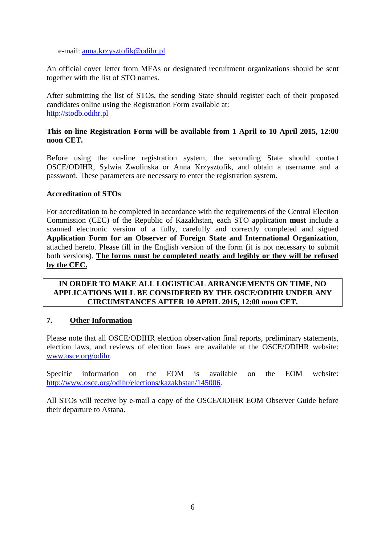e-mail: anna.krzysztofik@odihr.pl

An official cover letter from MFAs or designated recruitment organizations should be sent together with the list of STO names.

After submitting the list of STOs, the sending State should register each of their proposed candidates online using the Registration Form available at: http://stodb.odihr.pl

## **This on-line Registration Form will be available from 1 April to 10 April 2015, 12:00 noon CET.**

Before using the on-line registration system, the seconding State should contact OSCE/ODIHR, Sylwia Zwolinska or Anna Krzysztofik, and obtain a username and a password. These parameters are necessary to enter the registration system.

#### **Accreditation of STOs**

For accreditation to be completed in accordance with the requirements of the Central Election Commission (CEC) of the Republic of Kazakhstan, each STO application **must** include a scanned electronic version of a fully, carefully and correctly completed and signed **Application Form for an Observer of Foreign State and International Organization**, attached hereto. Please fill in the English version of the form (it is not necessary to submit both version**s**). **The forms must be completed neatly and legibly or they will be refused by the CEC.**

### **IN ORDER TO MAKE ALL LOGISTICAL ARRANGEMENTS ON TIME, NO APPLICATIONS WILL BE CONSIDERED BY THE OSCE/ODIHR UNDER ANY CIRCUMSTANCES AFTER 10 APRIL 2015, 12:00 noon CET.**

#### **7. Other Information**

Please note that all OSCE/ODIHR election observation final reports, preliminary statements, election laws, and reviews of election laws are available at the OSCE/ODIHR website: www.osce.org/odihr.

Specific information on the EOM is available on the EOM website: http://www.osce.org/odihr/elections/kazakhstan/145006.

All STOs will receive by e-mail a copy of the OSCE/ODIHR EOM Observer Guide before their departure to Astana.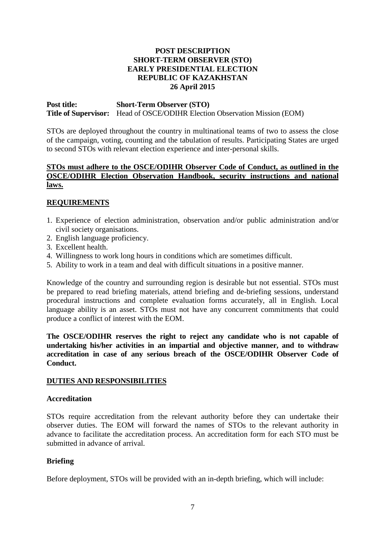## **POST DESCRIPTION SHORT-TERM OBSERVER (STO) EARLY PRESIDENTIAL ELECTION REPUBLIC OF KAZAKHSTAN 26 April 2015**

**Post title: Short-Term Observer (STO) Title of Supervisor:** Head of OSCE/ODIHR Election Observation Mission (EOM)

STOs are deployed throughout the country in multinational teams of two to assess the close of the campaign, voting, counting and the tabulation of results. Participating States are urged to second STOs with relevant election experience and inter-personal skills.

### **STOs must adhere to the OSCE/ODIHR Observer Code of Conduct, as outlined in the OSCE/ODIHR Election Observation Handbook, security instructions and national laws.**

# **REQUIREMENTS**

- 1. Experience of election administration, observation and/or public administration and/or civil society organisations.
- 2. English language proficiency.
- 3. Excellent health.
- 4. Willingness to work long hours in conditions which are sometimes difficult.
- 5. Ability to work in a team and deal with difficult situations in a positive manner.

Knowledge of the country and surrounding region is desirable but not essential. STOs must be prepared to read briefing materials, attend briefing and de-briefing sessions, understand procedural instructions and complete evaluation forms accurately, all in English. Local language ability is an asset. STOs must not have any concurrent commitments that could produce a conflict of interest with the EOM.

**The OSCE/ODIHR reserves the right to reject any candidate who is not capable of undertaking his/her activities in an impartial and objective manner, and to withdraw accreditation in case of any serious breach of the OSCE/ODIHR Observer Code of Conduct.** 

#### **DUTIES AND RESPONSIBILITIES**

#### **Accreditation**

STOs require accreditation from the relevant authority before they can undertake their observer duties. The EOM will forward the names of STOs to the relevant authority in advance to facilitate the accreditation process. An accreditation form for each STO must be submitted in advance of arrival.

#### **Briefing**

Before deployment, STOs will be provided with an in-depth briefing, which will include: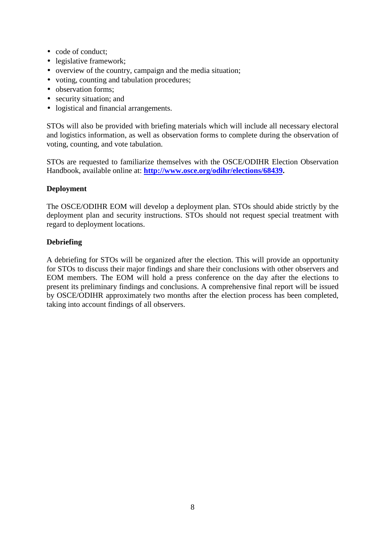- code of conduct;
- legislative framework;
- overview of the country, campaign and the media situation;
- voting, counting and tabulation procedures;
- observation forms:
- security situation; and
- logistical and financial arrangements.

STOs will also be provided with briefing materials which will include all necessary electoral and logistics information, as well as observation forms to complete during the observation of voting, counting, and vote tabulation.

STOs are requested to familiarize themselves with the OSCE/ODIHR Election Observation Handbook, available online at: **http://www.osce.org/odihr/elections/68439.**

# **Deployment**

The OSCE/ODIHR EOM will develop a deployment plan. STOs should abide strictly by the deployment plan and security instructions. STOs should not request special treatment with regard to deployment locations.

# **Debriefing**

A debriefing for STOs will be organized after the election. This will provide an opportunity for STOs to discuss their major findings and share their conclusions with other observers and EOM members. The EOM will hold a press conference on the day after the elections to present its preliminary findings and conclusions. A comprehensive final report will be issued by OSCE/ODIHR approximately two months after the election process has been completed, taking into account findings of all observers.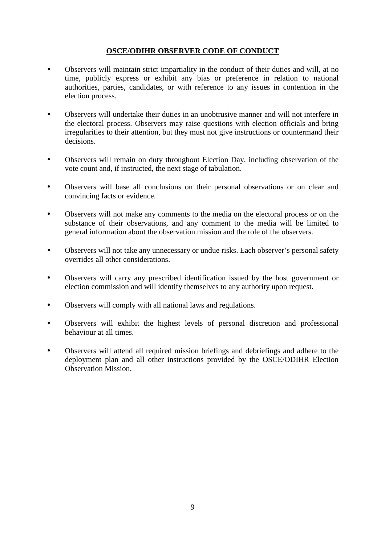# **OSCE/ODIHR OBSERVER CODE OF CONDUCT**

- Observers will maintain strict impartiality in the conduct of their duties and will, at no time, publicly express or exhibit any bias or preference in relation to national authorities, parties, candidates, or with reference to any issues in contention in the election process.
- Observers will undertake their duties in an unobtrusive manner and will not interfere in the electoral process. Observers may raise questions with election officials and bring irregularities to their attention, but they must not give instructions or countermand their decisions.
- Observers will remain on duty throughout Election Day, including observation of the vote count and, if instructed, the next stage of tabulation.
- Observers will base all conclusions on their personal observations or on clear and convincing facts or evidence.
- Observers will not make any comments to the media on the electoral process or on the substance of their observations, and any comment to the media will be limited to general information about the observation mission and the role of the observers.
- Observers will not take any unnecessary or undue risks. Each observer's personal safety overrides all other considerations.
- Observers will carry any prescribed identification issued by the host government or election commission and will identify themselves to any authority upon request.
- Observers will comply with all national laws and regulations.
- Observers will exhibit the highest levels of personal discretion and professional behaviour at all times.
- Observers will attend all required mission briefings and debriefings and adhere to the deployment plan and all other instructions provided by the OSCE/ODIHR Election Observation Mission.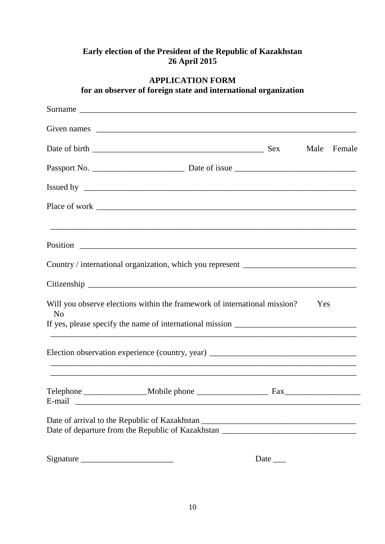# **Early election of the President of the Republic of Kazakhstan 26 April 2015**

|                | for an observer of foreign state and international organization                                                                                                        |             |     |             |
|----------------|------------------------------------------------------------------------------------------------------------------------------------------------------------------------|-------------|-----|-------------|
|                |                                                                                                                                                                        |             |     |             |
|                |                                                                                                                                                                        |             |     |             |
|                |                                                                                                                                                                        |             |     | Male Female |
|                |                                                                                                                                                                        |             |     |             |
|                |                                                                                                                                                                        |             |     |             |
|                |                                                                                                                                                                        |             |     |             |
|                | ,我们也不能在这里的时候,我们也不能在这里的时候,我们也不能会在这里的时候,我们也不能会在这里的时候,我们也不能会在这里的时候,我们也不能会在这里的时候,我们也不                                                                                      |             |     |             |
|                | Country / international organization, which you represent ______________________                                                                                       |             |     |             |
|                |                                                                                                                                                                        |             |     |             |
| N <sub>o</sub> | Will you observe elections within the framework of international mission?                                                                                              |             | Yes |             |
|                | Election observation experience (country, year) _________________________________                                                                                      |             |     |             |
|                |                                                                                                                                                                        |             |     |             |
|                | Date of arrival to the Republic of Kazakhstan ___________________________________<br>Date of departure from the Republic of Kazakhstan _______________________________ |             |     |             |
|                | Signature                                                                                                                                                              | Date $\_\_$ |     |             |

# **APPLICATION FORM**